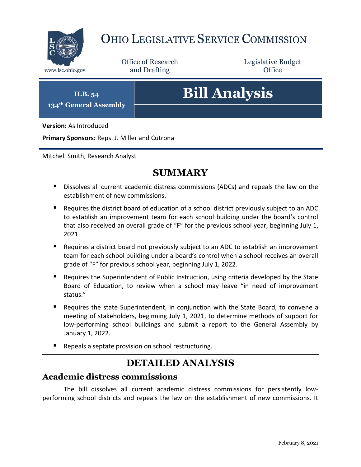

## OHIO LEGISLATIVE SERVICE COMMISSION

Office of Research www.lsc.ohio.gov **and Drafting Office** 

Legislative Budget

**H.B. 54 134th General Assembly**

# **Bill Analysis**

**Version:** As Introduced

**Primary Sponsors:** Reps. J. Miller and Cutrona

Mitchell Smith, Research Analyst

### **SUMMARY**

- **Dissolves all current academic distress commissions (ADCs) and repeals the law on the** establishment of new commissions.
- Requires the district board of education of a school district previously subject to an ADC to establish an improvement team for each school building under the board's control that also received an overall grade of "F" for the previous school year, beginning July 1, 2021.
- Requires a district board not previously subject to an ADC to establish an improvement team for each school building under a board's control when a school receives an overall grade of "F" for previous school year, beginning July 1, 2022.
- **Requires the Superintendent of Public Instruction, using criteria developed by the State** Board of Education, to review when a school may leave "in need of improvement status."
- Requires the state Superintendent, in conjunction with the State Board, to convene a meeting of stakeholders, beginning July 1, 2021, to determine methods of support for low-performing school buildings and submit a report to the General Assembly by January 1, 2022.
- Repeals a septate provision on school restructuring.

## **DETAILED ANALYSIS**

#### **Academic distress commissions**

The bill dissolves all current academic distress commissions for persistently lowperforming school districts and repeals the law on the establishment of new commissions. It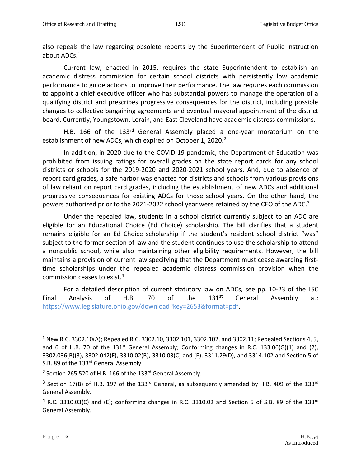also repeals the law regarding obsolete reports by the Superintendent of Public Instruction about ADCs.<sup>1</sup>

Current law, enacted in 2015, requires the state Superintendent to establish an academic distress commission for certain school districts with persistently low academic performance to guide actions to improve their performance. The law requires each commission to appoint a chief executive officer who has substantial powers to manage the operation of a qualifying district and prescribes progressive consequences for the district, including possible changes to collective bargaining agreements and eventual mayoral appointment of the district board. Currently, Youngstown, Lorain, and East Cleveland have academic distress commissions.

H.B. 166 of the 133<sup>rd</sup> General Assembly placed a one-year moratorium on the establishment of new ADCs, which expired on October 1, 2020.<sup>2</sup>

In addition, in 2020 due to the COVID-19 pandemic, the Department of Education was prohibited from issuing ratings for overall grades on the state report cards for any school districts or schools for the 2019-2020 and 2020-2021 school years. And, due to absence of report card grades, a safe harbor was enacted for districts and schools from various provisions of law reliant on report card grades, including the establishment of new ADCs and additional progressive consequences for existing ADCs for those school years. On the other hand, the powers authorized prior to the 2021-2022 school year were retained by the CEO of the ADC.<sup>3</sup>

Under the repealed law, students in a school district currently subject to an ADC are eligible for an Educational Choice (Ed Choice) scholarship. The bill clarifies that a student remains eligible for an Ed Choice scholarship if the student's resident school district "was" subject to the former section of law and the student continues to use the scholarship to attend a nonpublic school, while also maintaining other eligibility requirements. However, the bill maintains a provision of current law specifying that the Department must cease awarding firsttime scholarships under the repealed academic distress commission provision when the commission ceases to exist.<sup>4</sup>

For a detailed description of current statutory law on ADCs, see pp. 10-23 of the LSC Final Analysis of H.B. 70 of the  $131<sup>st</sup>$  General Assembly at: [https://www.legislature.ohio.gov/download?key=2653&format=pdf.](https://www.legislature.ohio.gov/download?key=2653&format=pdf)

 $1$  New R.C. 3302.10(A); Repealed R.C. 3302.10, 3302.101, 3302.102, and 3302.11; Repealed Sections 4, 5, and 6 of H.B. 70 of the  $131<sup>st</sup>$  General Assembly; Conforming changes in R.C. 133.06(G)(1) and (2), 3302.036(B)(3), 3302.042(F), 3310.02(B), 3310.03(C) and (E), 3311.29(D), and 3314.102 and Section 5 of S.B. 89 of the 133rd General Assembly.

<sup>&</sup>lt;sup>2</sup> Section 265.520 of H.B. 166 of the 133<sup>rd</sup> General Assembly.

<sup>&</sup>lt;sup>3</sup> Section 17(B) of H.B. 197 of the 133<sup>rd</sup> General, as subsequently amended by H.B. 409 of the 133<sup>rd</sup> General Assembly.

 $4$  R.C. 3310.03(C) and (E); conforming changes in R.C. 3310.02 and Section 5 of S.B. 89 of the 133<sup>rd</sup> General Assembly.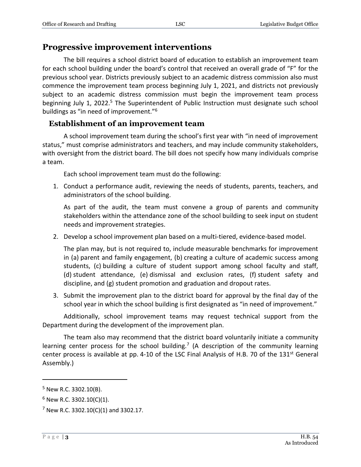#### **Progressive improvement interventions**

The bill requires a school district board of education to establish an improvement team for each school building under the board's control that received an overall grade of "F" for the previous school year. Districts previously subject to an academic distress commission also must commence the improvement team process beginning July 1, 2021, and districts not previously subject to an academic distress commission must begin the improvement team process beginning July 1, 2022.<sup>5</sup> The Superintendent of Public Instruction must designate such school buildings as "in need of improvement."<sup>6</sup>

#### **Establishment of an improvement team**

A school improvement team during the school's first year with "in need of improvement status," must comprise administrators and teachers, and may include community stakeholders, with oversight from the district board. The bill does not specify how many individuals comprise a team.

Each school improvement team must do the following:

1. Conduct a performance audit, reviewing the needs of students, parents, teachers, and administrators of the school building.

As part of the audit, the team must convene a group of parents and community stakeholders within the attendance zone of the school building to seek input on student needs and improvement strategies.

2. Develop a school improvement plan based on a multi-tiered, evidence-based model.

The plan may, but is not required to, include measurable benchmarks for improvement in (a) parent and family engagement, (b) creating a culture of academic success among students, (c) building a culture of student support among school faculty and staff, (d) student attendance, (e) dismissal and exclusion rates, (f) student safety and discipline, and (g) student promotion and graduation and dropout rates.

3. Submit the improvement plan to the district board for approval by the final day of the school year in which the school building is first designated as "in need of improvement."

Additionally, school improvement teams may request technical support from the Department during the development of the improvement plan.

The team also may recommend that the district board voluntarily initiate a community learning center process for the school building.<sup>7</sup> (A description of the community learning center process is available at pp. 4-10 of the LSC Final Analysis of H.B. 70 of the 131<sup>st</sup> General Assembly.)

<sup>5</sup> New R.C. 3302.10(B).

 $6$  New R.C. 3302.10(C)(1).

 $7$  New R.C. 3302.10(C)(1) and 3302.17.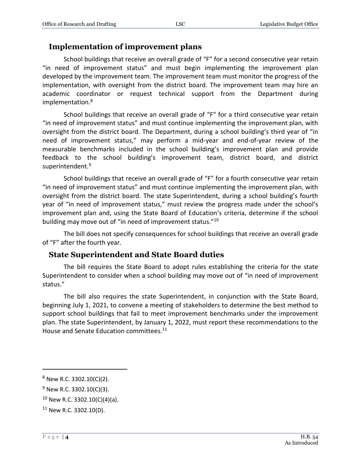#### **Implementation of improvement plans**

School buildings that receive an overall grade of "F" for a second consecutive year retain "in need of improvement status" and must begin implementing the improvement plan developed by the improvement team. The improvement team must monitor the progress of the implementation, with oversight from the district board. The improvement team may hire an academic coordinator or request technical support from the Department during implementation.<sup>8</sup>

School buildings that receive an overall grade of "F" for a third consecutive year retain "in need of improvement status" and must continue implementing the improvement plan, with oversight from the district board. The Department, during a school building's third year of "in need of improvement status," may perform a mid-year and end-of-year review of the measurable benchmarks included in the school building's improvement plan and provide feedback to the school building's improvement team, district board, and district superintendent.<sup>9</sup>

School buildings that receive an overall grade of "F" for a fourth consecutive year retain "in need of improvement status" and must continue implementing the improvement plan, with oversight from the district board. The state Superintendent, during a school building's fourth year of "in need of improvement status," must review the progress made under the school's improvement plan and, using the State Board of Education's criteria, determine if the school building may move out of "in need of improvement status."<sup>10</sup>

The bill does not specify consequences for school buildings that receive an overall grade of "F" after the fourth year.

#### **State Superintendent and State Board duties**

The bill requires the State Board to adopt rules establishing the criteria for the state Superintendent to consider when a school building may move out of "in need of improvement status."

The bill also requires the state Superintendent, in conjunction with the State Board, beginning July 1, 2021, to convene a meeting of stakeholders to determine the best method to support school buildings that fail to meet improvement benchmarks under the improvement plan. The state Superintendent, by January 1, 2022, must report these recommendations to the House and Senate Education committees.<sup>11</sup>

<sup>8</sup> New R.C. 3302.10(C)(2).

 $9$  New R.C. 3302.10(C)(3).

<sup>10</sup> New R.C. 3302.10(C)(4)(a).

<sup>11</sup> New R.C. 3302.10(D).